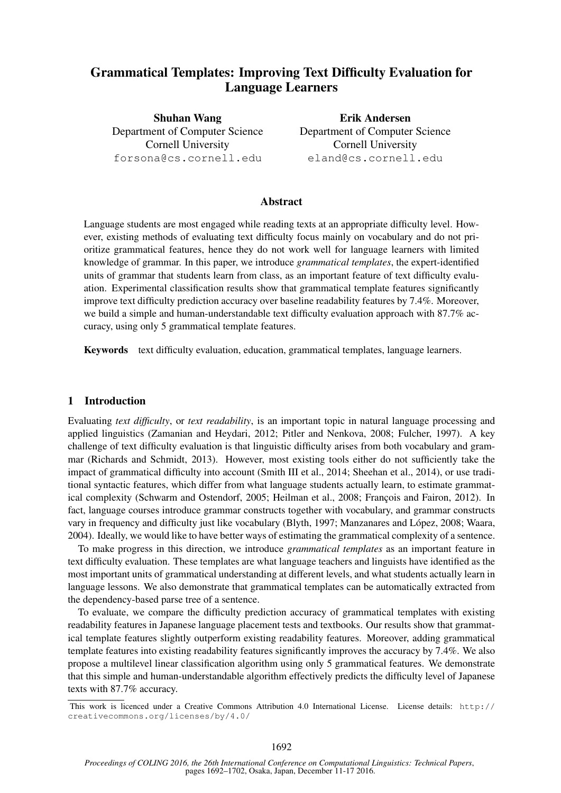# Grammatical Templates: Improving Text Difficulty Evaluation for Language Learners

Shuhan Wang Department of Computer Science Cornell University forsona@cs.cornell.edu

Erik Andersen Department of Computer Science Cornell University eland@cs.cornell.edu

# Abstract

Language students are most engaged while reading texts at an appropriate difficulty level. However, existing methods of evaluating text difficulty focus mainly on vocabulary and do not prioritize grammatical features, hence they do not work well for language learners with limited knowledge of grammar. In this paper, we introduce *grammatical templates*, the expert-identified units of grammar that students learn from class, as an important feature of text difficulty evaluation. Experimental classification results show that grammatical template features significantly improve text difficulty prediction accuracy over baseline readability features by 7.4%. Moreover, we build a simple and human-understandable text difficulty evaluation approach with 87.7% accuracy, using only 5 grammatical template features.

Keywords text difficulty evaluation, education, grammatical templates, language learners.

# 1 Introduction

Evaluating *text difficulty*, or *text readability*, is an important topic in natural language processing and applied linguistics (Zamanian and Heydari, 2012; Pitler and Nenkova, 2008; Fulcher, 1997). A key challenge of text difficulty evaluation is that linguistic difficulty arises from both vocabulary and grammar (Richards and Schmidt, 2013). However, most existing tools either do not sufficiently take the impact of grammatical difficulty into account (Smith III et al., 2014; Sheehan et al., 2014), or use traditional syntactic features, which differ from what language students actually learn, to estimate grammatical complexity (Schwarm and Ostendorf, 2005; Heilman et al., 2008; François and Fairon, 2012). In fact, language courses introduce grammar constructs together with vocabulary, and grammar constructs vary in frequency and difficulty just like vocabulary (Blyth, 1997; Manzanares and López, 2008; Waara, 2004). Ideally, we would like to have better ways of estimating the grammatical complexity of a sentence.

To make progress in this direction, we introduce *grammatical templates* as an important feature in text difficulty evaluation. These templates are what language teachers and linguists have identified as the most important units of grammatical understanding at different levels, and what students actually learn in language lessons. We also demonstrate that grammatical templates can be automatically extracted from the dependency-based parse tree of a sentence.

To evaluate, we compare the difficulty prediction accuracy of grammatical templates with existing readability features in Japanese language placement tests and textbooks. Our results show that grammatical template features slightly outperform existing readability features. Moreover, adding grammatical template features into existing readability features significantly improves the accuracy by 7.4%. We also propose a multilevel linear classification algorithm using only 5 grammatical features. We demonstrate that this simple and human-understandable algorithm effectively predicts the difficulty level of Japanese texts with 87.7% accuracy.

This work is licenced under a Creative Commons Attribution 4.0 International License. License details: http:// creativecommons.org/licenses/by/4.0/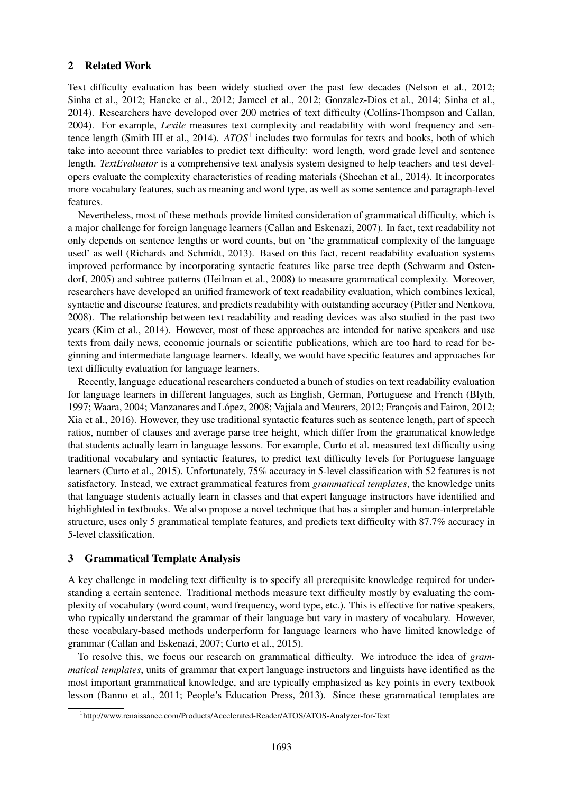# 2 Related Work

Text difficulty evaluation has been widely studied over the past few decades (Nelson et al., 2012; Sinha et al., 2012; Hancke et al., 2012; Jameel et al., 2012; Gonzalez-Dios et al., 2014; Sinha et al., 2014). Researchers have developed over 200 metrics of text difficulty (Collins-Thompson and Callan, 2004). For example, *Lexile* measures text complexity and readability with word frequency and sentence length (Smith III et al., 2014). *ATOS*<sup>1</sup> includes two formulas for texts and books, both of which take into account three variables to predict text difficulty: word length, word grade level and sentence length. *TextEvaluator* is a comprehensive text analysis system designed to help teachers and test developers evaluate the complexity characteristics of reading materials (Sheehan et al., 2014). It incorporates more vocabulary features, such as meaning and word type, as well as some sentence and paragraph-level features.

Nevertheless, most of these methods provide limited consideration of grammatical difficulty, which is a major challenge for foreign language learners (Callan and Eskenazi, 2007). In fact, text readability not only depends on sentence lengths or word counts, but on 'the grammatical complexity of the language used' as well (Richards and Schmidt, 2013). Based on this fact, recent readability evaluation systems improved performance by incorporating syntactic features like parse tree depth (Schwarm and Ostendorf, 2005) and subtree patterns (Heilman et al., 2008) to measure grammatical complexity. Moreover, researchers have developed an unified framework of text readability evaluation, which combines lexical, syntactic and discourse features, and predicts readability with outstanding accuracy (Pitler and Nenkova, 2008). The relationship between text readability and reading devices was also studied in the past two years (Kim et al., 2014). However, most of these approaches are intended for native speakers and use texts from daily news, economic journals or scientific publications, which are too hard to read for beginning and intermediate language learners. Ideally, we would have specific features and approaches for text difficulty evaluation for language learners.

Recently, language educational researchers conducted a bunch of studies on text readability evaluation for language learners in different languages, such as English, German, Portuguese and French (Blyth, 1997; Waara, 2004; Manzanares and López, 2008; Vajjala and Meurers, 2012; Francois and Fairon, 2012; Xia et al., 2016). However, they use traditional syntactic features such as sentence length, part of speech ratios, number of clauses and average parse tree height, which differ from the grammatical knowledge that students actually learn in language lessons. For example, Curto et al. measured text difficulty using traditional vocabulary and syntactic features, to predict text difficulty levels for Portuguese language learners (Curto et al., 2015). Unfortunately, 75% accuracy in 5-level classification with 52 features is not satisfactory. Instead, we extract grammatical features from *grammatical templates*, the knowledge units that language students actually learn in classes and that expert language instructors have identified and highlighted in textbooks. We also propose a novel technique that has a simpler and human-interpretable structure, uses only 5 grammatical template features, and predicts text difficulty with 87.7% accuracy in 5-level classification.

# 3 Grammatical Template Analysis

A key challenge in modeling text difficulty is to specify all prerequisite knowledge required for understanding a certain sentence. Traditional methods measure text difficulty mostly by evaluating the complexity of vocabulary (word count, word frequency, word type, etc.). This is effective for native speakers, who typically understand the grammar of their language but vary in mastery of vocabulary. However, these vocabulary-based methods underperform for language learners who have limited knowledge of grammar (Callan and Eskenazi, 2007; Curto et al., 2015).

To resolve this, we focus our research on grammatical difficulty. We introduce the idea of *grammatical templates*, units of grammar that expert language instructors and linguists have identified as the most important grammatical knowledge, and are typically emphasized as key points in every textbook lesson (Banno et al., 2011; People's Education Press, 2013). Since these grammatical templates are

<sup>1</sup> http://www.renaissance.com/Products/Accelerated-Reader/ATOS/ATOS-Analyzer-for-Text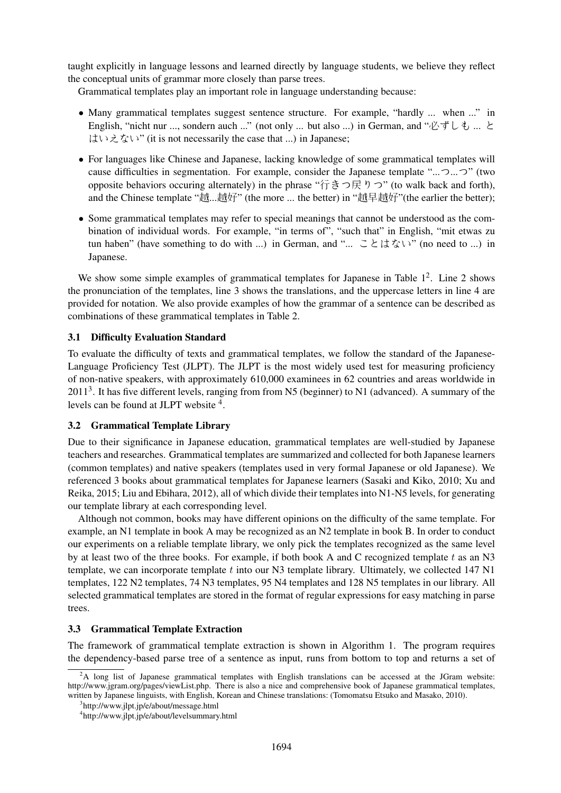taught explicitly in language lessons and learned directly by language students, we believe they reflect the conceptual units of grammar more closely than parse trees.

Grammatical templates play an important role in language understanding because:

- Many grammatical templates suggest sentence structure. For example, "hardly ... when ..." in English, "nicht nur ..., sondern auch ..." (not only ... but also ...) in German, and "必ずしも ... と はいえない" (it is not necessarily the case that ...) in Japanese;
- For languages like Chinese and Japanese, lacking knowledge of some grammatical templates will cause difficulties in segmentation. For example, consider the Japanese template "...つ...つ" (two opposite behaviors occuring alternately) in the phrase "行きつ戻りつ" (to walk back and forth), and the Chinese template "越...越好" (the more ... the better) in "越早越好"(the earlier the better);
- Some grammatical templates may refer to special meanings that cannot be understood as the combination of individual words. For example, "in terms of", "such that" in English, "mit etwas zu tun haben" (have something to do with ...) in German, and "... ことはない" (no need to ...) in Japanese.

We show some simple examples of grammatical templates for Japanese in Table  $1<sup>2</sup>$ . Line 2 shows the pronunciation of the templates, line 3 shows the translations, and the uppercase letters in line 4 are provided for notation. We also provide examples of how the grammar of a sentence can be described as combinations of these grammatical templates in Table 2.

### 3.1 Difficulty Evaluation Standard

To evaluate the difficulty of texts and grammatical templates, we follow the standard of the Japanese-Language Proficiency Test (JLPT). The JLPT is the most widely used test for measuring proficiency of non-native speakers, with approximately 610,000 examinees in 62 countries and areas worldwide in  $2011<sup>3</sup>$ . It has five different levels, ranging from from N5 (beginner) to N1 (advanced). A summary of the levels can be found at JLPT website <sup>4</sup>.

#### 3.2 Grammatical Template Library

Due to their significance in Japanese education, grammatical templates are well-studied by Japanese teachers and researches. Grammatical templates are summarized and collected for both Japanese learners (common templates) and native speakers (templates used in very formal Japanese or old Japanese). We referenced 3 books about grammatical templates for Japanese learners (Sasaki and Kiko, 2010; Xu and Reika, 2015; Liu and Ebihara, 2012), all of which divide their templates into N1-N5 levels, for generating our template library at each corresponding level.

Although not common, books may have different opinions on the difficulty of the same template. For example, an N1 template in book A may be recognized as an N2 template in book B. In order to conduct our experiments on a reliable template library, we only pick the templates recognized as the same level by at least two of the three books. For example, if both book A and C recognized template  $t$  as an N3 template, we can incorporate template t into our N3 template library. Ultimately, we collected 147 N1 templates, 122 N2 templates, 74 N3 templates, 95 N4 templates and 128 N5 templates in our library. All selected grammatical templates are stored in the format of regular expressions for easy matching in parse trees.

### 3.3 Grammatical Template Extraction

The framework of grammatical template extraction is shown in Algorithm 1. The program requires the dependency-based parse tree of a sentence as input, runs from bottom to top and returns a set of

 ${}^{2}$ A long list of Japanese grammatical templates with English translations can be accessed at the JGram website: http://www.jgram.org/pages/viewList.php. There is also a nice and comprehensive book of Japanese grammatical templates, written by Japanese linguists, with English, Korean and Chinese translations: (Tomomatsu Etsuko and Masako, 2010).

<sup>3</sup> http://www.jlpt.jp/e/about/message.html

<sup>4</sup> http://www.jlpt.jp/e/about/levelsummary.html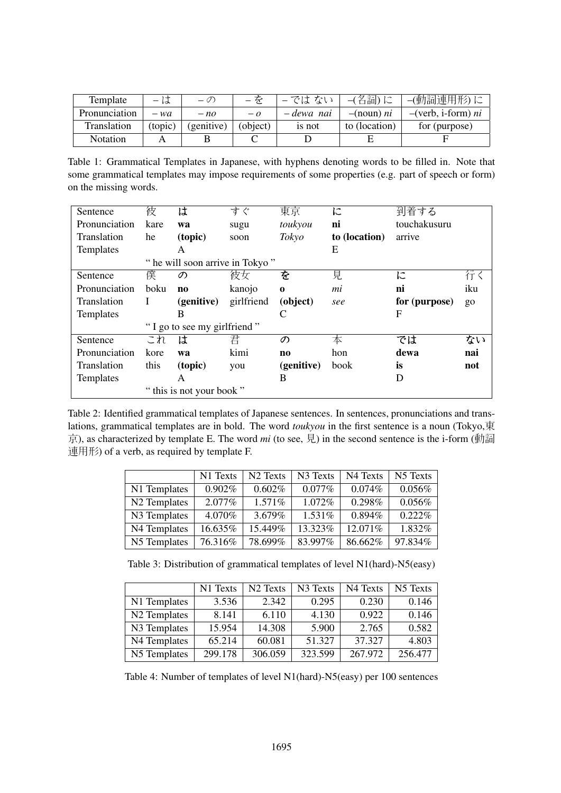| Template      | $-11$   | $-\mathcal{O}$ | $-\bar{\gamma}$ | –では ない     | -(名詞)に        | –(動詞連用形)に            |
|---------------|---------|----------------|-----------------|------------|---------------|----------------------|
| Pronunciation | $- wa$  | $- no$         | $-\rho$         | – dewa nai | $-($ noun) ni | $-(verb, i-form) ni$ |
| Translation   | (topic) | (genitive)     | (object)        | is not     | to (location) | for (purpose)        |
| Notation      |         |                |                 |            |               |                      |

Table 1: Grammatical Templates in Japanese, with hyphens denoting words to be filled in. Note that some grammatical templates may impose requirements of some properties (e.g. part of speech or form) on the missing words.

| Sentence                    | 彼                               | は            | すぐ         | 東京             | に             | 到着する          |       |
|-----------------------------|---------------------------------|--------------|------------|----------------|---------------|---------------|-------|
| Pronunciation               | kare                            | wa           | sugu       | toukyou        | ni            | touchakusuru  |       |
| Translation                 | he                              | (topic)      | soon       | Tokyo          | to (location) | arrive        |       |
| Templates                   |                                 | A            |            |                | Ε             |               |       |
|                             | " he will soon arrive in Tokyo" |              |            |                |               |               |       |
| Sentence                    | 僕                               | の            | 彼女         | を              | 見             | に             | 行く    |
| Pronunciation               | boku                            | $\mathbf{n}$ | kanojo     | $\bf{0}$       | mi            | ni            | iku   |
| Translation                 | I                               | (genitive)   | girlfriend | (object)       | see           | for (purpose) | $g_0$ |
| Templates                   |                                 | B            |            | C              |               | F             |       |
| "I go to see my girlfriend" |                                 |              |            |                |               |               |       |
| Sentence                    | これ                              | は            | 君          | の              | 本             | では            | ない    |
| Pronunciation               | kore                            | wa           | kimi       | n <sub>0</sub> | hon           | dewa          | nai   |
| Translation                 | this                            | (topic)      | you        | (genitive)     | book          | is            | not   |
| Templates                   |                                 | A            |            | B              |               | D             |       |
| this is not your book "     |                                 |              |            |                |               |               |       |

Table 2: Identified grammatical templates of Japanese sentences. In sentences, pronunciations and translations, grammatical templates are in bold. The word *toukyou* in the first sentence is a noun (Tokyo,東 京), as characterized by template E. The word *mi* (to see, 見) in the second sentence is the i-form (動詞 連用形) of a verb, as required by template F.

|              | N1 Texts  | N <sub>2</sub> Texts | N <sub>3</sub> Texts | N4 Texts  | N5 Texts   |
|--------------|-----------|----------------------|----------------------|-----------|------------|
| N1 Templates | $0.902\%$ | $0.602\%$            | $0.077\%$            | 0.074%    | 0.056%     |
| N2 Templates | $2.077\%$ | $1.571\%$            | 1.072\%              | 0.298%    | 0.056%     |
| N3 Templates | 4.070%    | 3.679%               | 1.531%               | $0.894\%$ | $0.222\%$  |
| N4 Templates | 16.635%   | 15.449%              | 13.323%              | 12.071%   | 1.832%     |
| N5 Templates | 76.316%   | 78.699%              | 83.997%              | 86.662%   | $97.834\%$ |

Table 3: Distribution of grammatical templates of level N1(hard)-N5(easy)

|                          | N1 Texts | N <sub>2</sub> Texts | N3 Texts | N4 Texts | N5 Texts |
|--------------------------|----------|----------------------|----------|----------|----------|
| N1 Templates             | 3.536    | 2.342                | 0.295    | 0.230    | 0.146    |
| N <sub>2</sub> Templates | 8.141    | 6.110                | 4.130    | 0.922    | 0.146    |
| N3 Templates             | 15.954   | 14.308               | 5.900    | 2.765    | 0.582    |
| N4 Templates             | 65.214   | 60.081               | 51.327   | 37.327   | 4.803    |
| N5 Templates             | 299.178  | 306.059              | 323.599  | 267.972  | 256.477  |

Table 4: Number of templates of level N1(hard)-N5(easy) per 100 sentences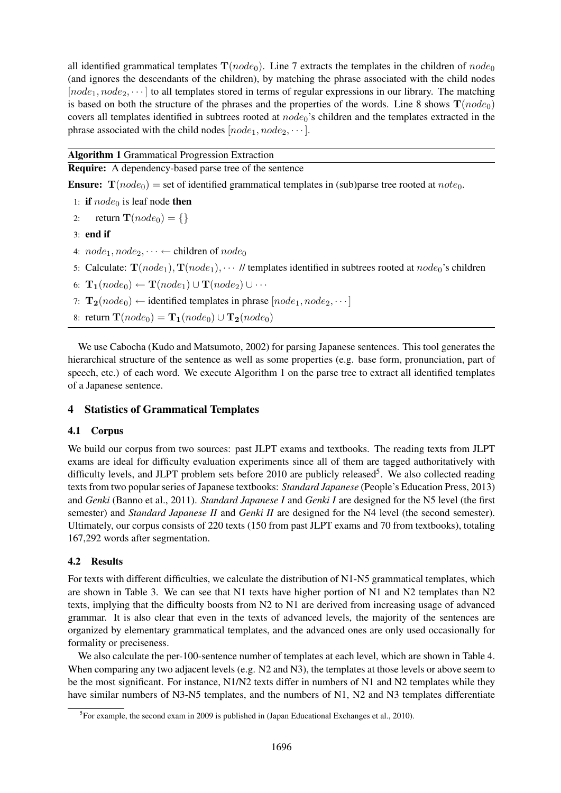all identified grammatical templates  $\mathbf{T}(node_0)$ . Line 7 extracts the templates in the children of  $node_0$ (and ignores the descendants of the children), by matching the phrase associated with the child nodes  $[node_1, node_2, \dots]$  to all templates stored in terms of regular expressions in our library. The matching is based on both the structure of the phrases and the properties of the words. Line 8 shows  $\mathbf{T}(node_0)$ covers all templates identified in subtrees rooted at  $node_0$ 's children and the templates extracted in the phrase associated with the child nodes  $[node_1, node_2, \cdots]$ .

Algorithm 1 Grammatical Progression Extraction

Require: A dependency-based parse tree of the sentence

**Ensure:**  $\mathbf{T}(node_0) = \text{set of identified grammatical templates in (sub)parse tree rooted at *note*<sub>0</sub>.$ 

- 1: if  $node_0$  is leaf node then
- 2: return  $\mathbf{T}(node_0) = \{\}$
- 3: end if
- 4:  $node_1, node_2, \dots \leftarrow$  children of  $node_0$
- 5: Calculate:  $\mathbf{T}(node_1), \mathbf{T}(node_1), \cdots$  // templates identified in subtrees rooted at  $node_0$ 's children
- 6:  $\mathbf{T}_1(node_0) \leftarrow \mathbf{T}(node_1) \cup \mathbf{T}(node_2) \cup \cdots$
- 7:  $\mathbf{T_2}(node_0) \leftarrow$  identified templates in phrase  $[node_1, node_2, \cdots]$
- 8: return  $\mathbf{T}(node_0) = \mathbf{T_1}(node_0) \cup \mathbf{T_2}(node_0)$

We use Cabocha (Kudo and Matsumoto, 2002) for parsing Japanese sentences. This tool generates the hierarchical structure of the sentence as well as some properties (e.g. base form, pronunciation, part of speech, etc.) of each word. We execute Algorithm 1 on the parse tree to extract all identified templates of a Japanese sentence.

# 4 Statistics of Grammatical Templates

# 4.1 Corpus

We build our corpus from two sources: past JLPT exams and textbooks. The reading texts from JLPT exams are ideal for difficulty evaluation experiments since all of them are tagged authoritatively with difficulty levels, and JLPT problem sets before 2010 are publicly released<sup>5</sup>. We also collected reading texts from two popular series of Japanese textbooks: *Standard Japanese* (People's Education Press, 2013) and *Genki* (Banno et al., 2011). *Standard Japanese I* and *Genki I* are designed for the N5 level (the first semester) and *Standard Japanese II* and *Genki II* are designed for the N4 level (the second semester). Ultimately, our corpus consists of 220 texts (150 from past JLPT exams and 70 from textbooks), totaling 167,292 words after segmentation.

# 4.2 Results

For texts with different difficulties, we calculate the distribution of N1-N5 grammatical templates, which are shown in Table 3. We can see that N1 texts have higher portion of N1 and N2 templates than N2 texts, implying that the difficulty boosts from N2 to N1 are derived from increasing usage of advanced grammar. It is also clear that even in the texts of advanced levels, the majority of the sentences are organized by elementary grammatical templates, and the advanced ones are only used occasionally for formality or preciseness.

We also calculate the per-100-sentence number of templates at each level, which are shown in Table 4. When comparing any two adjacent levels (e.g. N2 and N3), the templates at those levels or above seem to be the most significant. For instance, N1/N2 texts differ in numbers of N1 and N2 templates while they have similar numbers of N3-N5 templates, and the numbers of N1, N2 and N3 templates differentiate

<sup>&</sup>lt;sup>5</sup> For example, the second exam in 2009 is published in (Japan Educational Exchanges et al., 2010).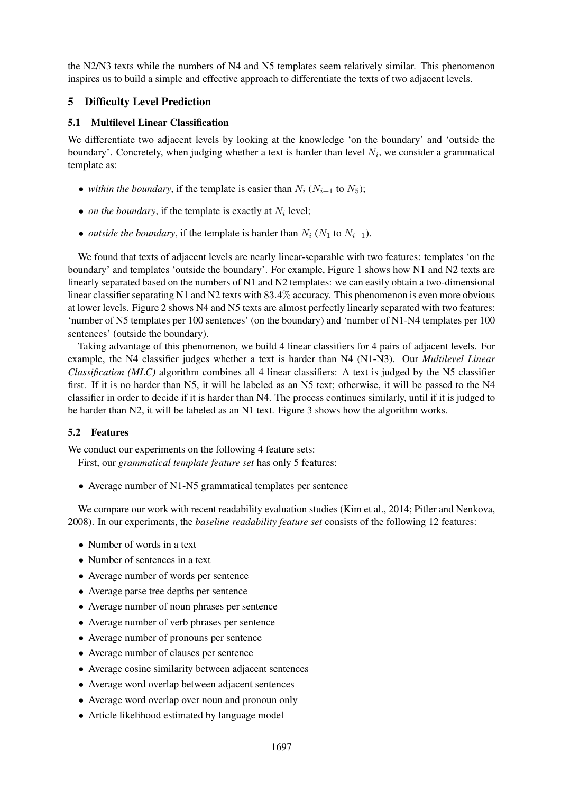the N2/N3 texts while the numbers of N4 and N5 templates seem relatively similar. This phenomenon inspires us to build a simple and effective approach to differentiate the texts of two adjacent levels.

# 5 Difficulty Level Prediction

### 5.1 Multilevel Linear Classification

We differentiate two adjacent levels by looking at the knowledge 'on the boundary' and 'outside the boundary'. Concretely, when judging whether a text is harder than level  $N_i$ , we consider a grammatical template as:

- *within the boundary*, if the template is easier than  $N_i$  ( $N_{i+1}$  to  $N_5$ );
- *on the boundary*, if the template is exactly at  $N_i$  level;
- *outside the boundary*, if the template is harder than  $N_i$  ( $N_1$  to  $N_{i-1}$ ).

We found that texts of adjacent levels are nearly linear-separable with two features: templates 'on the boundary' and templates 'outside the boundary'. For example, Figure 1 shows how N1 and N2 texts are linearly separated based on the numbers of N1 and N2 templates: we can easily obtain a two-dimensional linear classifier separating N1 and N2 texts with 83.4% accuracy. This phenomenon is even more obvious at lower levels. Figure 2 shows N4 and N5 texts are almost perfectly linearly separated with two features: 'number of N5 templates per 100 sentences' (on the boundary) and 'number of N1-N4 templates per 100 sentences' (outside the boundary).

Taking advantage of this phenomenon, we build 4 linear classifiers for 4 pairs of adjacent levels. For example, the N4 classifier judges whether a text is harder than N4 (N1-N3). Our *Multilevel Linear Classification (MLC)* algorithm combines all 4 linear classifiers: A text is judged by the N5 classifier first. If it is no harder than N5, it will be labeled as an N5 text; otherwise, it will be passed to the N4 classifier in order to decide if it is harder than N4. The process continues similarly, until if it is judged to be harder than N2, it will be labeled as an N1 text. Figure 3 shows how the algorithm works.

# 5.2 Features

We conduct our experiments on the following 4 feature sets:

First, our *grammatical template feature set* has only 5 features:

• Average number of N1-N5 grammatical templates per sentence

We compare our work with recent readability evaluation studies (Kim et al., 2014; Pitler and Nenkova, 2008). In our experiments, the *baseline readability feature set* consists of the following 12 features:

- Number of words in a text
- Number of sentences in a text
- Average number of words per sentence
- Average parse tree depths per sentence
- Average number of noun phrases per sentence
- Average number of verb phrases per sentence
- Average number of pronouns per sentence
- Average number of clauses per sentence
- Average cosine similarity between adjacent sentences
- Average word overlap between adjacent sentences
- Average word overlap over noun and pronoun only
- Article likelihood estimated by language model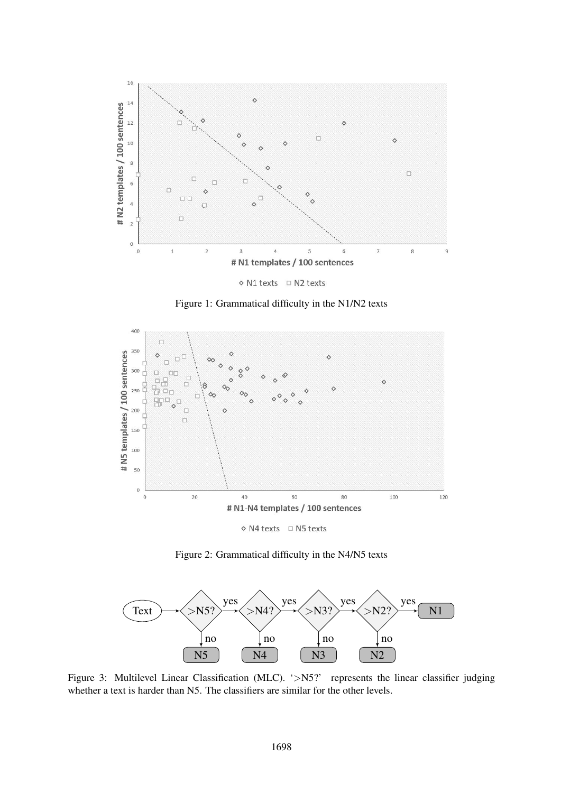





◇ N4 texts □ N5 texts

Figure 2: Grammatical difficulty in the N4/N5 texts



Figure 3: Multilevel Linear Classification (MLC). '>N5?' represents the linear classifier judging whether a text is harder than N5. The classifiers are similar for the other levels.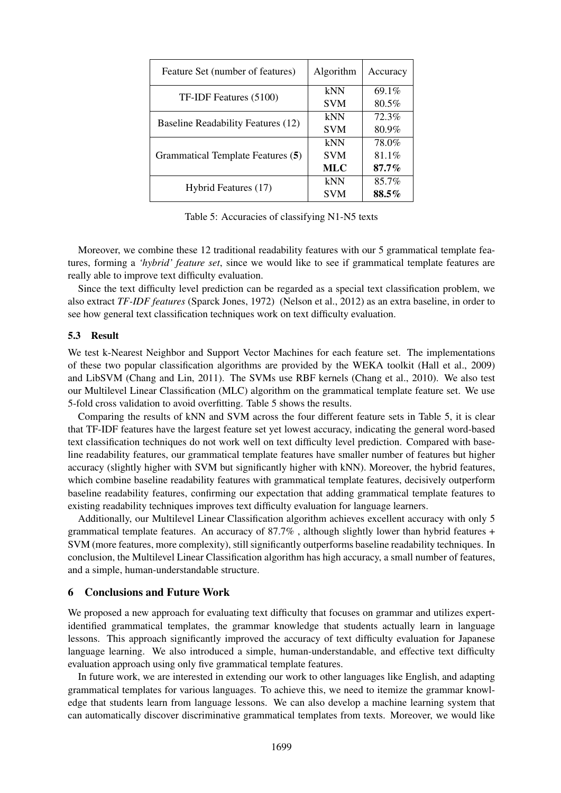| Feature Set (number of features)          | Algorithm  | Accuracy |
|-------------------------------------------|------------|----------|
| TF-IDF Features (5100)                    | kNN        | 69.1%    |
|                                           | <b>SVM</b> | $80.5\%$ |
|                                           | kNN        | 72.3%    |
| <b>Baseline Readability Features (12)</b> | <b>SVM</b> | 80.9%    |
|                                           | kNN        | 78.0%    |
| Grammatical Template Features (5)         | <b>SVM</b> | $81.1\%$ |
|                                           | <b>MLC</b> | $87.7\%$ |
|                                           | kNN        | 85.7%    |
| Hybrid Features (17)                      | <b>SVM</b> | $88.5\%$ |

Table 5: Accuracies of classifying N1-N5 texts

Moreover, we combine these 12 traditional readability features with our 5 grammatical template features, forming a *'hybrid' feature set*, since we would like to see if grammatical template features are really able to improve text difficulty evaluation.

Since the text difficulty level prediction can be regarded as a special text classification problem, we also extract *TF-IDF features* (Sparck Jones, 1972) (Nelson et al., 2012) as an extra baseline, in order to see how general text classification techniques work on text difficulty evaluation.

### 5.3 Result

We test k-Nearest Neighbor and Support Vector Machines for each feature set. The implementations of these two popular classification algorithms are provided by the WEKA toolkit (Hall et al., 2009) and LibSVM (Chang and Lin, 2011). The SVMs use RBF kernels (Chang et al., 2010). We also test our Multilevel Linear Classification (MLC) algorithm on the grammatical template feature set. We use 5-fold cross validation to avoid overfitting. Table 5 shows the results.

Comparing the results of kNN and SVM across the four different feature sets in Table 5, it is clear that TF-IDF features have the largest feature set yet lowest accuracy, indicating the general word-based text classification techniques do not work well on text difficulty level prediction. Compared with baseline readability features, our grammatical template features have smaller number of features but higher accuracy (slightly higher with SVM but significantly higher with kNN). Moreover, the hybrid features, which combine baseline readability features with grammatical template features, decisively outperform baseline readability features, confirming our expectation that adding grammatical template features to existing readability techniques improves text difficulty evaluation for language learners.

Additionally, our Multilevel Linear Classification algorithm achieves excellent accuracy with only 5 grammatical template features. An accuracy of 87.7% , although slightly lower than hybrid features + SVM (more features, more complexity), still significantly outperforms baseline readability techniques. In conclusion, the Multilevel Linear Classification algorithm has high accuracy, a small number of features, and a simple, human-understandable structure.

#### 6 Conclusions and Future Work

We proposed a new approach for evaluating text difficulty that focuses on grammar and utilizes expertidentified grammatical templates, the grammar knowledge that students actually learn in language lessons. This approach significantly improved the accuracy of text difficulty evaluation for Japanese language learning. We also introduced a simple, human-understandable, and effective text difficulty evaluation approach using only five grammatical template features.

In future work, we are interested in extending our work to other languages like English, and adapting grammatical templates for various languages. To achieve this, we need to itemize the grammar knowledge that students learn from language lessons. We can also develop a machine learning system that can automatically discover discriminative grammatical templates from texts. Moreover, we would like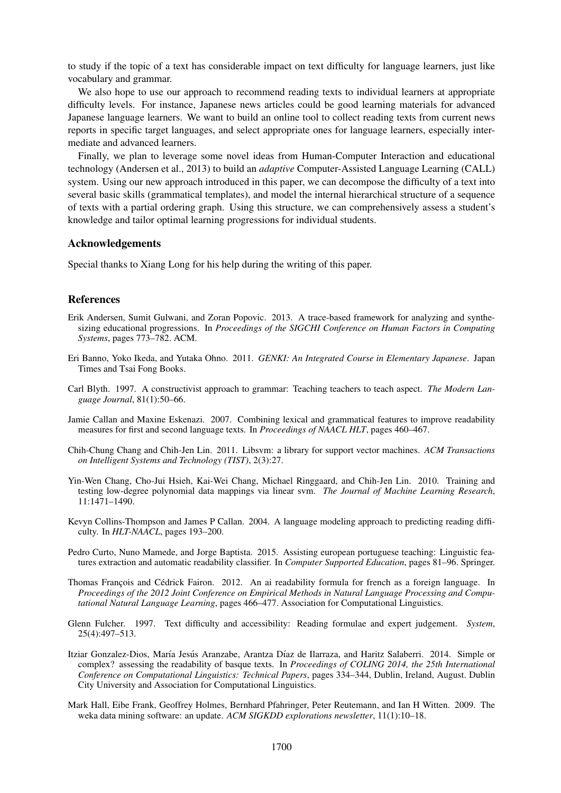to study if the topic of a text has considerable impact on text difficulty for language learners, just like vocabulary and grammar.

We also hope to use our approach to recommend reading texts to individual learners at appropriate difficulty levels. For instance, Japanese news articles could be good learning materials for advanced Japanese language learners. We want to build an online tool to collect reading texts from current news reports in specific target languages, and select appropriate ones for language learners, especially intermediate and advanced learners.

Finally, we plan to leverage some novel ideas from Human-Computer Interaction and educational technology (Andersen et al., 2013) to build an *adaptive* Computer-Assisted Language Learning (CALL) system. Using our new approach introduced in this paper, we can decompose the difficulty of a text into several basic skills (grammatical templates), and model the internal hierarchical structure of a sequence of texts with a partial ordering graph. Using this structure, we can comprehensively assess a student's knowledge and tailor optimal learning progressions for individual students.

## Acknowledgements

Special thanks to Xiang Long for his help during the writing of this paper.

### References

- Erik Andersen, Sumit Gulwani, and Zoran Popovic. 2013. A trace-based framework for analyzing and synthesizing educational progressions. In *Proceedings of the SIGCHI Conference on Human Factors in Computing Systems*, pages 773–782. ACM.
- Eri Banno, Yoko Ikeda, and Yutaka Ohno. 2011. *GENKI: An Integrated Course in Elementary Japanese*. Japan Times and Tsai Fong Books.
- Carl Blyth. 1997. A constructivist approach to grammar: Teaching teachers to teach aspect. *The Modern Language Journal*, 81(1):50–66.
- Jamie Callan and Maxine Eskenazi. 2007. Combining lexical and grammatical features to improve readability measures for first and second language texts. In *Proceedings of NAACL HLT*, pages 460–467.
- Chih-Chung Chang and Chih-Jen Lin. 2011. Libsvm: a library for support vector machines. *ACM Transactions on Intelligent Systems and Technology (TIST)*, 2(3):27.
- Yin-Wen Chang, Cho-Jui Hsieh, Kai-Wei Chang, Michael Ringgaard, and Chih-Jen Lin. 2010. Training and testing low-degree polynomial data mappings via linear svm. *The Journal of Machine Learning Research*, 11:1471–1490.
- Kevyn Collins-Thompson and James P Callan. 2004. A language modeling approach to predicting reading difficulty. In *HLT-NAACL*, pages 193–200.
- Pedro Curto, Nuno Mamede, and Jorge Baptista. 2015. Assisting european portuguese teaching: Linguistic features extraction and automatic readability classifier. In *Computer Supported Education*, pages 81–96. Springer.
- Thomas François and Cédrick Fairon. 2012. An ai readability formula for french as a foreign language. In *Proceedings of the 2012 Joint Conference on Empirical Methods in Natural Language Processing and Computational Natural Language Learning*, pages 466–477. Association for Computational Linguistics.
- Glenn Fulcher. 1997. Text difficulty and accessibility: Reading formulae and expert judgement. *System*, 25(4):497–513.
- Itziar Gonzalez-Dios, María Jesús Aranzabe, Arantza Díaz de Ilarraza, and Haritz Salaberri. 2014. Simple or complex? assessing the readability of basque texts. In *Proceedings of COLING 2014, the 25th International Conference on Computational Linguistics: Technical Papers*, pages 334–344, Dublin, Ireland, August. Dublin City University and Association for Computational Linguistics.
- Mark Hall, Eibe Frank, Geoffrey Holmes, Bernhard Pfahringer, Peter Reutemann, and Ian H Witten. 2009. The weka data mining software: an update. *ACM SIGKDD explorations newsletter*, 11(1):10–18.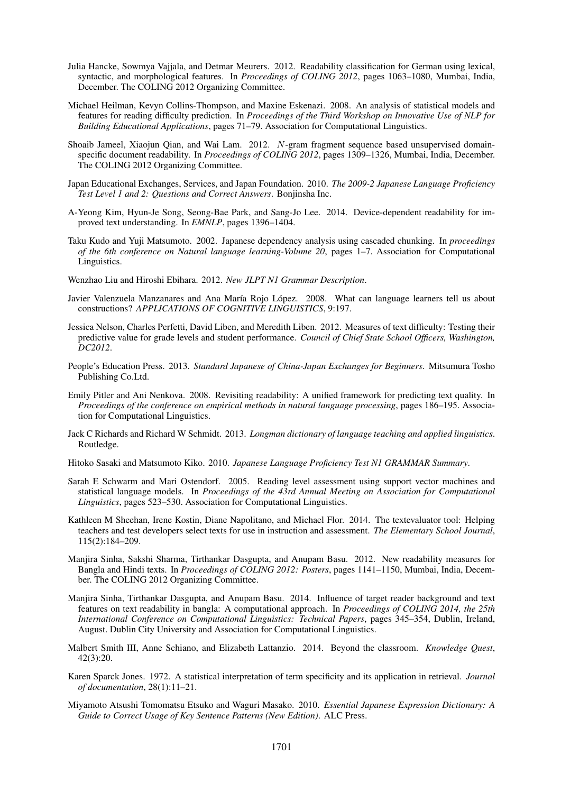- Julia Hancke, Sowmya Vajjala, and Detmar Meurers. 2012. Readability classification for German using lexical, syntactic, and morphological features. In *Proceedings of COLING 2012*, pages 1063–1080, Mumbai, India, December. The COLING 2012 Organizing Committee.
- Michael Heilman, Kevyn Collins-Thompson, and Maxine Eskenazi. 2008. An analysis of statistical models and features for reading difficulty prediction. In *Proceedings of the Third Workshop on Innovative Use of NLP for Building Educational Applications*, pages 71–79. Association for Computational Linguistics.
- Shoaib Jameel, Xiaojun Qian, and Wai Lam. 2012. N-gram fragment sequence based unsupervised domainspecific document readability. In *Proceedings of COLING 2012*, pages 1309–1326, Mumbai, India, December. The COLING 2012 Organizing Committee.
- Japan Educational Exchanges, Services, and Japan Foundation. 2010. *The 2009-2 Japanese Language Proficiency Test Level 1 and 2: Questions and Correct Answers*. Bonjinsha Inc.
- A-Yeong Kim, Hyun-Je Song, Seong-Bae Park, and Sang-Jo Lee. 2014. Device-dependent readability for improved text understanding. In *EMNLP*, pages 1396–1404.
- Taku Kudo and Yuji Matsumoto. 2002. Japanese dependency analysis using cascaded chunking. In *proceedings of the 6th conference on Natural language learning-Volume 20*, pages 1–7. Association for Computational Linguistics.
- Wenzhao Liu and Hiroshi Ebihara. 2012. *New JLPT N1 Grammar Description*.
- Javier Valenzuela Manzanares and Ana María Rojo López. 2008. What can language learners tell us about constructions? *APPLICATIONS OF COGNITIVE LINGUISTICS*, 9:197.
- Jessica Nelson, Charles Perfetti, David Liben, and Meredith Liben. 2012. Measures of text difficulty: Testing their predictive value for grade levels and student performance. *Council of Chief State School Officers, Washington, DC2012*.
- People's Education Press. 2013. *Standard Japanese of China-Japan Exchanges for Beginners*. Mitsumura Tosho Publishing Co.Ltd.
- Emily Pitler and Ani Nenkova. 2008. Revisiting readability: A unified framework for predicting text quality. In *Proceedings of the conference on empirical methods in natural language processing*, pages 186–195. Association for Computational Linguistics.
- Jack C Richards and Richard W Schmidt. 2013. *Longman dictionary of language teaching and applied linguistics*. Routledge.

Hitoko Sasaki and Matsumoto Kiko. 2010. *Japanese Language Proficiency Test N1 GRAMMAR Summary*.

- Sarah E Schwarm and Mari Ostendorf. 2005. Reading level assessment using support vector machines and statistical language models. In *Proceedings of the 43rd Annual Meeting on Association for Computational Linguistics*, pages 523–530. Association for Computational Linguistics.
- Kathleen M Sheehan, Irene Kostin, Diane Napolitano, and Michael Flor. 2014. The textevaluator tool: Helping teachers and test developers select texts for use in instruction and assessment. *The Elementary School Journal*, 115(2):184–209.
- Manjira Sinha, Sakshi Sharma, Tirthankar Dasgupta, and Anupam Basu. 2012. New readability measures for Bangla and Hindi texts. In *Proceedings of COLING 2012: Posters*, pages 1141–1150, Mumbai, India, December. The COLING 2012 Organizing Committee.
- Manjira Sinha, Tirthankar Dasgupta, and Anupam Basu. 2014. Influence of target reader background and text features on text readability in bangla: A computational approach. In *Proceedings of COLING 2014, the 25th International Conference on Computational Linguistics: Technical Papers*, pages 345–354, Dublin, Ireland, August. Dublin City University and Association for Computational Linguistics.
- Malbert Smith III, Anne Schiano, and Elizabeth Lattanzio. 2014. Beyond the classroom. *Knowledge Quest*, 42(3):20.
- Karen Sparck Jones. 1972. A statistical interpretation of term specificity and its application in retrieval. *Journal of documentation*, 28(1):11–21.
- Miyamoto Atsushi Tomomatsu Etsuko and Waguri Masako. 2010. *Essential Japanese Expression Dictionary: A Guide to Correct Usage of Key Sentence Patterns (New Edition)*. ALC Press.